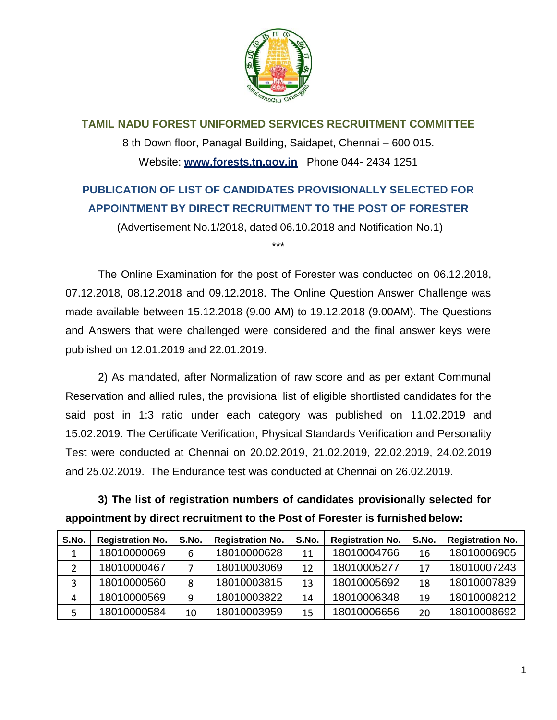

**TAMIL NADU FOREST UNIFORMED SERVICES RECRUITMENT COMMITTEE** 8 th Down floor, Panagal Building, Saidapet, Chennai – 600 015. Website: **[www.forests.tn.gov.in](http://www.forests.tn.gov.in/)** Phone 044- 2434 1251

## **PUBLICATION OF LIST OF CANDIDATES PROVISIONALLY SELECTED FOR APPOINTMENT BY DIRECT RECRUITMENT TO THE POST OF FORESTER**

(Advertisement No.1/2018, dated 06.10.2018 and Notification No.1)

\*\*\*

The Online Examination for the post of Forester was conducted on 06.12.2018, 07.12.2018, 08.12.2018 and 09.12.2018. The Online Question Answer Challenge was made available between 15.12.2018 (9.00 AM) to 19.12.2018 (9.00AM). The Questions and Answers that were challenged were considered and the final answer keys were published on 12.01.2019 and 22.01.2019.

2) As mandated, after Normalization of raw score and as per extant Communal Reservation and allied rules, the provisional list of eligible shortlisted candidates for the said post in 1:3 ratio under each category was published on 11.02.2019 and 15.02.2019. The Certificate Verification, Physical Standards Verification and Personality Test were conducted at Chennai on 20.02.2019, 21.02.2019, 22.02.2019, 24.02.2019 and 25.02.2019. The Endurance test was conducted at Chennai on 26.02.2019.

**3) The list of registration numbers of candidates provisionally selected for appointment by direct recruitment to the Post of Forester is furnishedbelow:**

| S.No. | <b>Registration No.</b> | S.No. | <b>Registration No.</b> | S.No. | <b>Registration No.</b> | S.No. | <b>Registration No.</b> |
|-------|-------------------------|-------|-------------------------|-------|-------------------------|-------|-------------------------|
|       | 18010000069             | 6     | 18010000628             | 11    | 18010004766             | 16    | 18010006905             |
|       | 18010000467             |       | 18010003069             | 12    | 18010005277             | 17    | 18010007243             |
|       | 18010000560             |       | 18010003815             | 13    | 18010005692             | 18    | 18010007839             |
| 4     | 18010000569             | 9     | 18010003822             | 14    | 18010006348             | 19    | 18010008212             |
|       | 18010000584             | 10    | 18010003959             | 15    | 18010006656             | 20    | 18010008692             |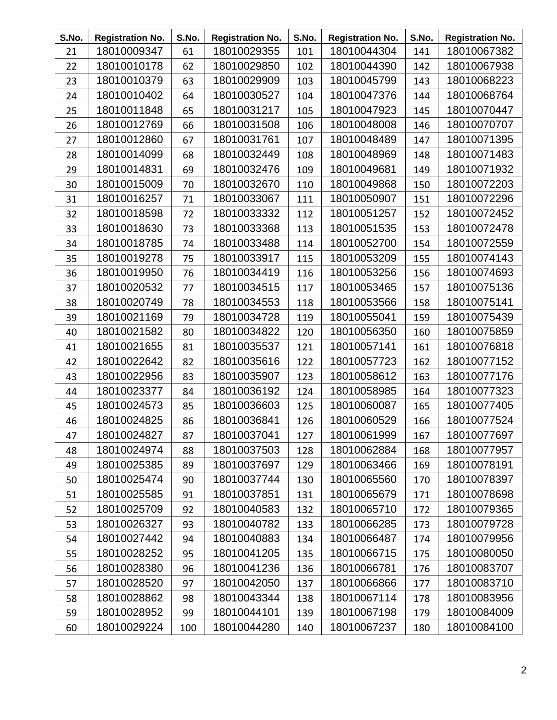| S.No. | <b>Registration No.</b> | S.No. | <b>Registration No.</b> | S.No. | <b>Registration No.</b> | S.No. | <b>Registration No.</b> |
|-------|-------------------------|-------|-------------------------|-------|-------------------------|-------|-------------------------|
| 21    | 18010009347             | 61    | 18010029355             | 101   | 18010044304             | 141   | 18010067382             |
| 22    | 18010010178             | 62    | 18010029850             | 102   | 18010044390             | 142   | 18010067938             |
| 23    | 18010010379             | 63    | 18010029909             | 103   | 18010045799             | 143   | 18010068223             |
| 24    | 18010010402             | 64    | 18010030527             | 104   | 18010047376             | 144   | 18010068764             |
| 25    | 18010011848             | 65    | 18010031217             | 105   | 18010047923             | 145   | 18010070447             |
| 26    | 18010012769             | 66    | 18010031508             | 106   | 18010048008             | 146   | 18010070707             |
| 27    | 18010012860             | 67    | 18010031761             | 107   | 18010048489             | 147   | 18010071395             |
| 28    | 18010014099             | 68    | 18010032449             | 108   | 18010048969             | 148   | 18010071483             |
| 29    | 18010014831             | 69    | 18010032476             | 109   | 18010049681             | 149   | 18010071932             |
| 30    | 18010015009             | 70    | 18010032670             | 110   | 18010049868             | 150   | 18010072203             |
| 31    | 18010016257             | 71    | 18010033067             | 111   | 18010050907             | 151   | 18010072296             |
| 32    | 18010018598             | 72    | 18010033332             | 112   | 18010051257             | 152   | 18010072452             |
| 33    | 18010018630             | 73    | 18010033368             | 113   | 18010051535             | 153   | 18010072478             |
| 34    | 18010018785             | 74    | 18010033488             | 114   | 18010052700             | 154   | 18010072559             |
| 35    | 18010019278             | 75    | 18010033917             | 115   | 18010053209             | 155   | 18010074143             |
| 36    | 18010019950             | 76    | 18010034419             | 116   | 18010053256             | 156   | 18010074693             |
| 37    | 18010020532             | 77    | 18010034515             | 117   | 18010053465             | 157   | 18010075136             |
| 38    | 18010020749             | 78    | 18010034553             | 118   | 18010053566             | 158   | 18010075141             |
| 39    | 18010021169             | 79    | 18010034728             | 119   | 18010055041             | 159   | 18010075439             |
| 40    | 18010021582             | 80    | 18010034822             | 120   | 18010056350             | 160   | 18010075859             |
| 41    | 18010021655             | 81    | 18010035537             | 121   | 18010057141             | 161   | 18010076818             |
| 42    | 18010022642             | 82    | 18010035616             | 122   | 18010057723             | 162   | 18010077152             |
| 43    | 18010022956             | 83    | 18010035907             | 123   | 18010058612             | 163   | 18010077176             |
| 44    | 18010023377             | 84    | 18010036192             | 124   | 18010058985             | 164   | 18010077323             |
| 45    | 18010024573             | 85    | 18010036603             | 125   | 18010060087             | 165   | 18010077405             |
| 46    | 18010024825             | 86    | 18010036841             | 126   | 18010060529             | 166   | 18010077524             |
| 47    | 18010024827             | 87    | 18010037041             | 127   | 18010061999             | 167   | 18010077697             |
| 48    | 18010024974             | 88    | 18010037503             | 128   | 18010062884             | 168   | 18010077957             |
| 49    | 18010025385             | 89    | 18010037697             | 129   | 18010063466             | 169   | 18010078191             |
| 50    | 18010025474             | 90    | 18010037744             | 130   | 18010065560             | 170   | 18010078397             |
| 51    | 18010025585             | 91    | 18010037851             | 131   | 18010065679             | 171   | 18010078698             |
| 52    | 18010025709             | 92    | 18010040583             | 132   | 18010065710             | 172   | 18010079365             |
| 53    | 18010026327             | 93    | 18010040782             | 133   | 18010066285             | 173   | 18010079728             |
| 54    | 18010027442             | 94    | 18010040883             | 134   | 18010066487             | 174   | 18010079956             |
| 55    | 18010028252             | 95    | 18010041205             | 135   | 18010066715             | 175   | 18010080050             |
| 56    | 18010028380             | 96    | 18010041236             | 136   | 18010066781             | 176   | 18010083707             |
| 57    | 18010028520             | 97    | 18010042050             | 137   | 18010066866             | 177   | 18010083710             |
| 58    | 18010028862             | 98    | 18010043344             | 138   | 18010067114             | 178   | 18010083956             |
| 59    | 18010028952             | 99    | 18010044101             | 139   | 18010067198             | 179   | 18010084009             |
| 60    | 18010029224             | 100   | 18010044280             | 140   | 18010067237             | 180   | 18010084100             |